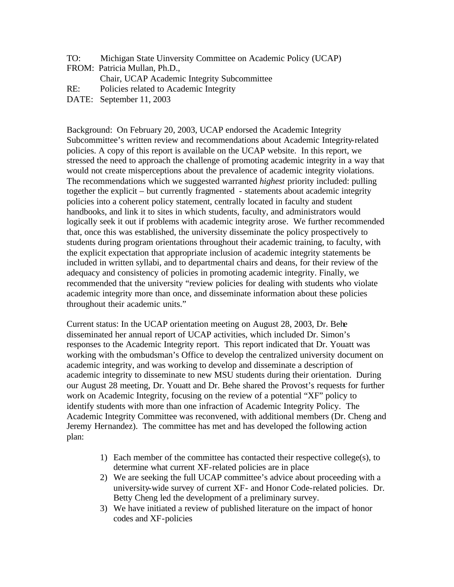TO: Michigan State Uinversity Committee on Academic Policy (UCAP)

FROM: Patricia Mullan, Ph.D.,

Chair, UCAP Academic Integrity Subcommittee

- RE: Policies related to Academic Integrity
- DATE: September 11, 2003

Background: On February 20, 2003, UCAP endorsed the Academic Integrity Subcommittee's written review and recommendations about Academic Integrity-related policies. A copy of this report is available on the UCAP website. In this report, we stressed the need to approach the challenge of promoting academic integrity in a way that would not create misperceptions about the prevalence of academic integrity violations. The recommendations which we suggested warranted *highest* priority included: pulling together the explicit – but currently fragmented - statements about academic integrity policies into a coherent policy statement, centrally located in faculty and student handbooks, and link it to sites in which students, faculty, and administrators would logically seek it out if problems with academic integrity arose. We further recommended that, once this was established, the university disseminate the policy prospectively to students during program orientations throughout their academic training, to faculty, with the explicit expectation that appropriate inclusion of academic integrity statements be included in written syllabi, and to departmental chairs and deans, for their review of the adequacy and consistency of policies in promoting academic integrity. Finally, we recommended that the university "review policies for dealing with students who violate academic integrity more than once, and disseminate information about these policies throughout their academic units."

Current status: In the UCAP orientation meeting on August 28, 2003, Dr. Behe disseminated her annual report of UCAP activities, which included Dr. Simon's responses to the Academic Integrity report. This report indicated that Dr. Youatt was working with the ombudsman's Office to develop the centralized university document on academic integrity, and was working to develop and disseminate a description of academic integrity to disseminate to new MSU students during their orientation. During our August 28 meeting, Dr. Youatt and Dr. Behe shared the Provost's requests for further work on Academic Integrity, focusing on the review of a potential "XF" policy to identify students with more than one infraction of Academic Integrity Policy. The Academic Integrity Committee was reconvened, with additional members (Dr. Cheng and Jeremy Hernandez). The committee has met and has developed the following action plan:

- 1) Each member of the committee has contacted their respective college(s), to determine what current XF-related policies are in place
- 2) We are seeking the full UCAP committee's advice about proceeding with a university-wide survey of current XF- and Honor Code-related policies. Dr. Betty Cheng led the development of a preliminary survey.
- 3) We have initiated a review of published literature on the impact of honor codes and XF-policies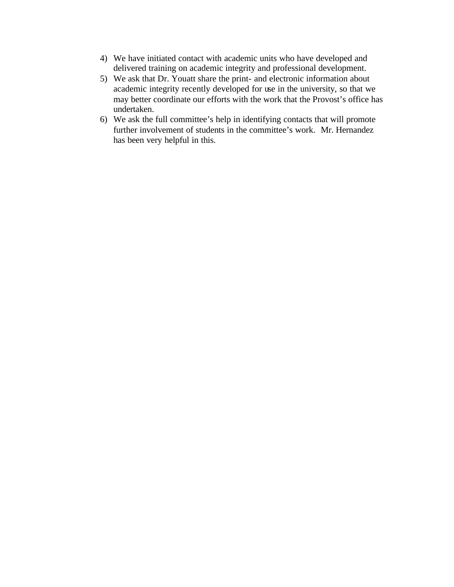- 4) We have initiated contact with academic units who have developed and delivered training on academic integrity and professional development.
- 5) We ask that Dr. Youatt share the print- and electronic information about academic integrity recently developed for use in the university, so that we may better coordinate our efforts with the work that the Provost's office has undertaken.
- 6) We ask the full committee's help in identifying contacts that will promote further involvement of students in the committee's work. Mr. Hernandez has been very helpful in this.